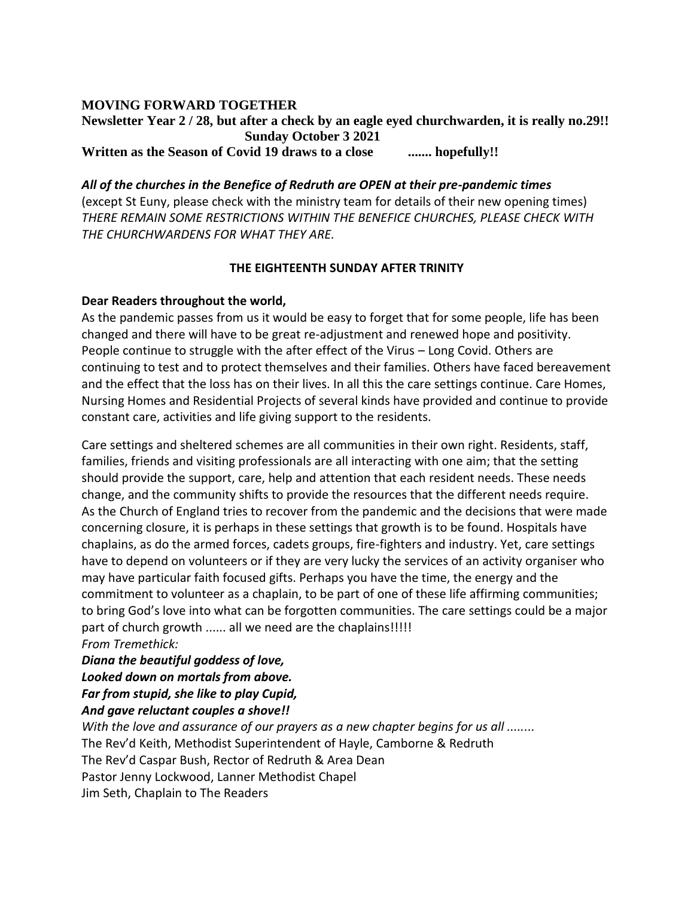## **MOVING FORWARD TOGETHER**

**Newsletter Year 2 / 28, but after a check by an eagle eyed churchwarden, it is really no.29!! Sunday October 3 2021 Written as the Season of Covid 19 draws to a close ....... hopefully!!**

*All of the churches in the Benefice of Redruth are OPEN at their pre-pandemic times*  (except St Euny, please check with the ministry team for details of their new opening times) *THERE REMAIN SOME RESTRICTIONS WITHIN THE BENEFICE CHURCHES, PLEASE CHECK WITH THE CHURCHWARDENS FOR WHAT THEY ARE.*

## **THE EIGHTEENTH SUNDAY AFTER TRINITY**

## **Dear Readers throughout the world,**

As the pandemic passes from us it would be easy to forget that for some people, life has been changed and there will have to be great re-adjustment and renewed hope and positivity. People continue to struggle with the after effect of the Virus – Long Covid. Others are continuing to test and to protect themselves and their families. Others have faced bereavement and the effect that the loss has on their lives. In all this the care settings continue. Care Homes, Nursing Homes and Residential Projects of several kinds have provided and continue to provide constant care, activities and life giving support to the residents.

Care settings and sheltered schemes are all communities in their own right. Residents, staff, families, friends and visiting professionals are all interacting with one aim; that the setting should provide the support, care, help and attention that each resident needs. These needs change, and the community shifts to provide the resources that the different needs require. As the Church of England tries to recover from the pandemic and the decisions that were made concerning closure, it is perhaps in these settings that growth is to be found. Hospitals have chaplains, as do the armed forces, cadets groups, fire-fighters and industry. Yet, care settings have to depend on volunteers or if they are very lucky the services of an activity organiser who may have particular faith focused gifts. Perhaps you have the time, the energy and the commitment to volunteer as a chaplain, to be part of one of these life affirming communities; to bring God's love into what can be forgotten communities. The care settings could be a major part of church growth ...... all we need are the chaplains!!!!! *From Tremethick:* 

*Diana the beautiful goddess of love,*

*Looked down on mortals from above.*

*Far from stupid, she like to play Cupid,*

*And gave reluctant couples a shove!!* 

*With the love and assurance of our prayers as a new chapter begins for us all ........* The Rev'd Keith, Methodist Superintendent of Hayle, Camborne & Redruth The Rev'd Caspar Bush, Rector of Redruth & Area Dean Pastor Jenny Lockwood, Lanner Methodist Chapel Jim Seth, Chaplain to The Readers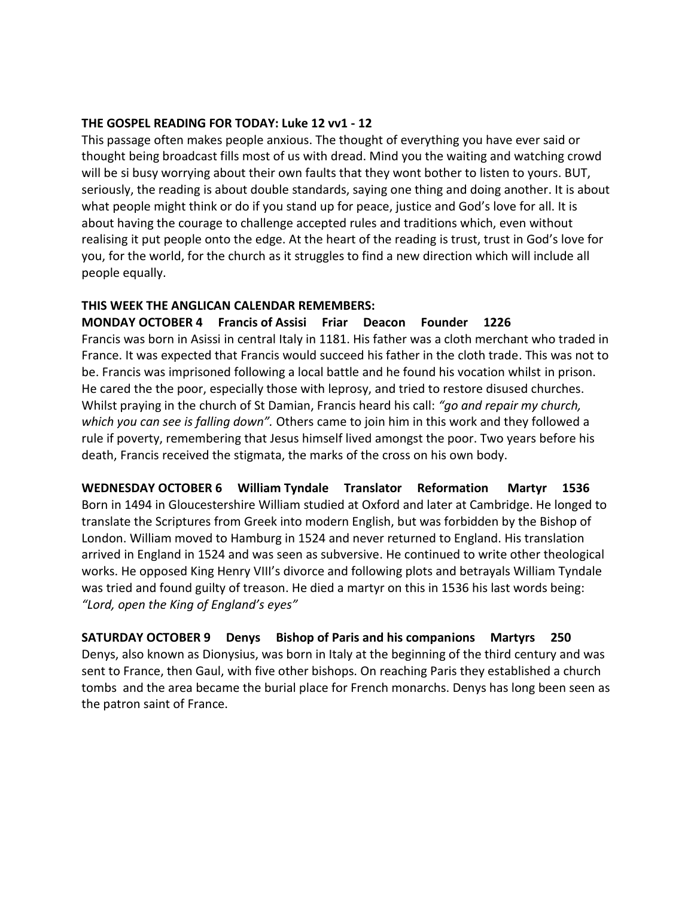#### **THE GOSPEL READING FOR TODAY: Luke 12 vv1 - 12**

This passage often makes people anxious. The thought of everything you have ever said or thought being broadcast fills most of us with dread. Mind you the waiting and watching crowd will be si busy worrying about their own faults that they wont bother to listen to yours. BUT, seriously, the reading is about double standards, saying one thing and doing another. It is about what people might think or do if you stand up for peace, justice and God's love for all. It is about having the courage to challenge accepted rules and traditions which, even without realising it put people onto the edge. At the heart of the reading is trust, trust in God's love for you, for the world, for the church as it struggles to find a new direction which will include all people equally.

#### **THIS WEEK THE ANGLICAN CALENDAR REMEMBERS:**

**MONDAY OCTOBER 4 Francis of Assisi Friar Deacon Founder 1226**  Francis was born in Asissi in central Italy in 1181. His father was a cloth merchant who traded in France. It was expected that Francis would succeed his father in the cloth trade. This was not to be. Francis was imprisoned following a local battle and he found his vocation whilst in prison. He cared the the poor, especially those with leprosy, and tried to restore disused churches. Whilst praying in the church of St Damian, Francis heard his call: *"go and repair my church, which you can see is falling down".* Others came to join him in this work and they followed a rule if poverty, remembering that Jesus himself lived amongst the poor. Two years before his death, Francis received the stigmata, the marks of the cross on his own body.

**WEDNESDAY OCTOBER 6 William Tyndale Translator Reformation Martyr 1536** Born in 1494 in Gloucestershire William studied at Oxford and later at Cambridge. He longed to translate the Scriptures from Greek into modern English, but was forbidden by the Bishop of London. William moved to Hamburg in 1524 and never returned to England. His translation arrived in England in 1524 and was seen as subversive. He continued to write other theological works. He opposed King Henry VIII's divorce and following plots and betrayals William Tyndale was tried and found guilty of treason. He died a martyr on this in 1536 his last words being: *"Lord, open the King of England's eyes"*

**SATURDAY OCTOBER 9 Denys Bishop of Paris and his companions Martyrs 250**  Denys, also known as Dionysius, was born in Italy at the beginning of the third century and was sent to France, then Gaul, with five other bishops. On reaching Paris they established a church tombs and the area became the burial place for French monarchs. Denys has long been seen as the patron saint of France.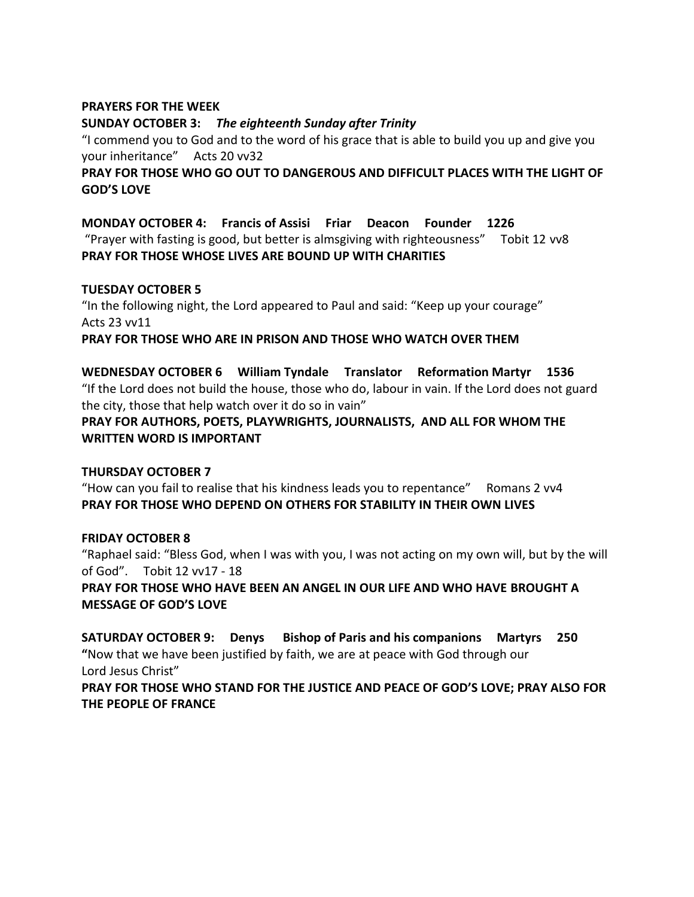#### **PRAYERS FOR THE WEEK**

#### **SUNDAY OCTOBER 3:** *The eighteenth Sunday after Trinity*

"I commend you to God and to the word of his grace that is able to build you up and give you your inheritance" Acts 20 vv32

## **PRAY FOR THOSE WHO GO OUT TO DANGEROUS AND DIFFICULT PLACES WITH THE LIGHT OF GOD'S LOVE**

**MONDAY OCTOBER 4: Francis of Assisi Friar Deacon Founder 1226** "Prayer with fasting is good, but better is almsgiving with righteousness" Tobit 12 vv8 **PRAY FOR THOSE WHOSE LIVES ARE BOUND UP WITH CHARITIES** 

#### **TUESDAY OCTOBER 5**

"In the following night, the Lord appeared to Paul and said: "Keep up your courage" Acts 23 vv11

**PRAY FOR THOSE WHO ARE IN PRISON AND THOSE WHO WATCH OVER THEM**

**WEDNESDAY OCTOBER 6 William Tyndale Translator Reformation Martyr 1536**  "If the Lord does not build the house, those who do, labour in vain. If the Lord does not guard the city, those that help watch over it do so in vain"

**PRAY FOR AUTHORS, POETS, PLAYWRIGHTS, JOURNALISTS, AND ALL FOR WHOM THE WRITTEN WORD IS IMPORTANT**

## **THURSDAY OCTOBER 7**

"How can you fail to realise that his kindness leads you to repentance" Romans 2 vv4 **PRAY FOR THOSE WHO DEPEND ON OTHERS FOR STABILITY IN THEIR OWN LIVES**

## **FRIDAY OCTOBER 8**

"Raphael said: "Bless God, when I was with you, I was not acting on my own will, but by the will of God". Tobit 12 vv17 - 18

**PRAY FOR THOSE WHO HAVE BEEN AN ANGEL IN OUR LIFE AND WHO HAVE BROUGHT A MESSAGE OF GOD'S LOVE**

**SATURDAY OCTOBER 9: Denys Bishop of Paris and his companions Martyrs 250 "**Now that we have been justified by faith, we are at peace with God through our Lord Jesus Christ"

**PRAY FOR THOSE WHO STAND FOR THE JUSTICE AND PEACE OF GOD'S LOVE; PRAY ALSO FOR THE PEOPLE OF FRANCE**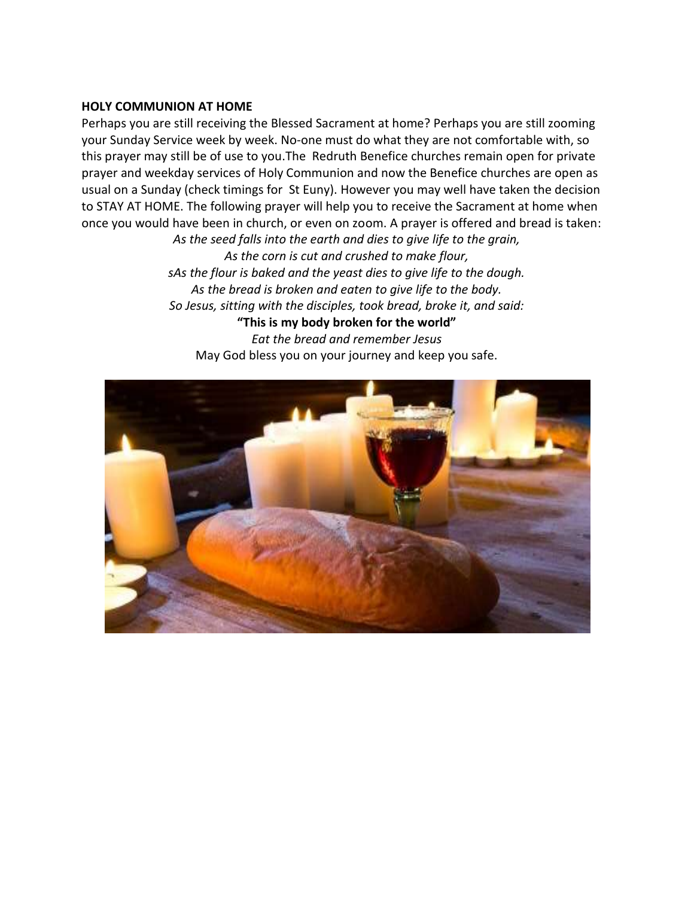#### **HOLY COMMUNION AT HOME**

Perhaps you are still receiving the Blessed Sacrament at home? Perhaps you are still zooming your Sunday Service week by week. No-one must do what they are not comfortable with, so this prayer may still be of use to you.The Redruth Benefice churches remain open for private prayer and weekday services of Holy Communion and now the Benefice churches are open as usual on a Sunday (check timings for St Euny). However you may well have taken the decision to STAY AT HOME. The following prayer will help you to receive the Sacrament at home when once you would have been in church, or even on zoom. A prayer is offered and bread is taken: *As the seed falls into the earth and dies to give life to the grain,*

*As the corn is cut and crushed to make flour, sAs the flour is baked and the yeast dies to give life to the dough. As the bread is broken and eaten to give life to the body. So Jesus, sitting with the disciples, took bread, broke it, and said:* **"This is my body broken for the world"** *Eat the bread and remember Jesus* May God bless you on your journey and keep you safe.

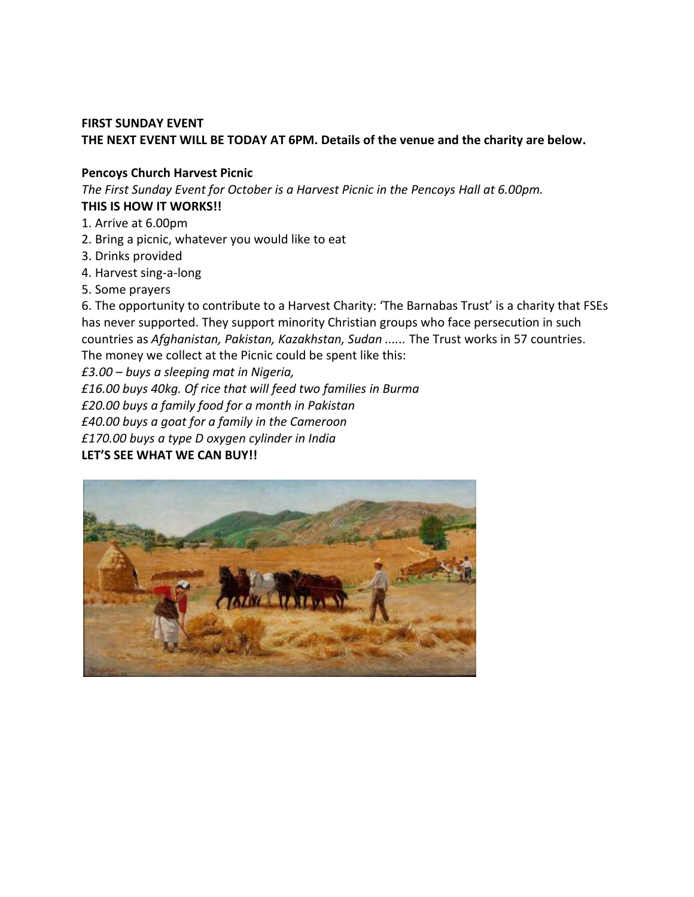## **FIRST SUNDAY EVENT**

## **THE NEXT EVENT WILL BE TODAY AT 6PM. Details of the venue and the charity are below.**

#### **Pencoys Church Harvest Picnic**

*The First Sunday Event for October is a Harvest Picnic in the Pencoys Hall at 6.00pm.*  **THIS IS HOW IT WORKS!!** 

- 1. Arrive at 6.00pm
- 2. Bring a picnic, whatever you would like to eat
- 3. Drinks provided
- 4. Harvest sing-a-long
- 5. Some prayers

6. The opportunity to contribute to a Harvest Charity: 'The Barnabas Trust' is a charity that FSEs has never supported. They support minority Christian groups who face persecution in such countries as *Afghanistan, Pakistan, Kazakhstan, Sudan ......* The Trust works in 57 countries. The money we collect at the Picnic could be spent like this:

*£3.00 – buys a sleeping mat in Nigeria,* 

*£16.00 buys 40kg. Of rice that will feed two families in Burma* 

*£20.00 buys a family food for a month in Pakistan* 

*£40.00 buys a goat for a family in the Cameroon* 

*£170.00 buys a type D oxygen cylinder in India*

# **LET'S SEE WHAT WE CAN BUY!!**

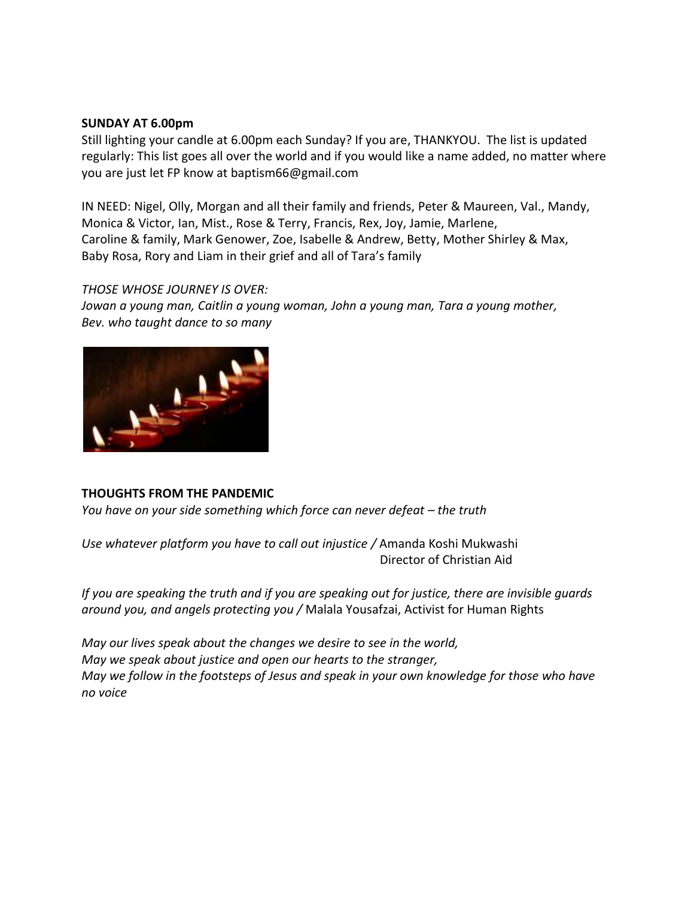#### **SUNDAY AT 6.00pm**

Still lighting your candle at 6.00pm each Sunday? If you are, THANKYOU. The list is updated regularly: This list goes all over the world and if you would like a name added, no matter where you are just let FP know at baptism66@gmail.com

IN NEED: Nigel, Olly, Morgan and all their family and friends, Peter & Maureen, Val., Mandy, Monica & Victor, Ian, Mist., Rose & Terry, Francis, Rex, Joy, Jamie, Marlene, Caroline & family, Mark Genower, Zoe, Isabelle & Andrew, Betty, Mother Shirley & Max, Baby Rosa, Rory and Liam in their grief and all of Tara's family

## *THOSE WHOSE JOURNEY IS OVER:*

*Jowan a young man, Caitlin a young woman, John a young man, Tara a young mother, Bev. who taught dance to so many* 



## **THOUGHTS FROM THE PANDEMIC**

*You have on your side something which force can never defeat – the truth* 

*Use whatever platform you have to call out injustice /* Amanda Koshi Mukwashi Director of Christian Aid

*If you are speaking the truth and if you are speaking out for justice, there are invisible guards around you, and angels protecting you /* Malala Yousafzai, Activist for Human Rights

*May our lives speak about the changes we desire to see in the world, May we speak about justice and open our hearts to the stranger, May we follow in the footsteps of Jesus and speak in your own knowledge for those who have no voice*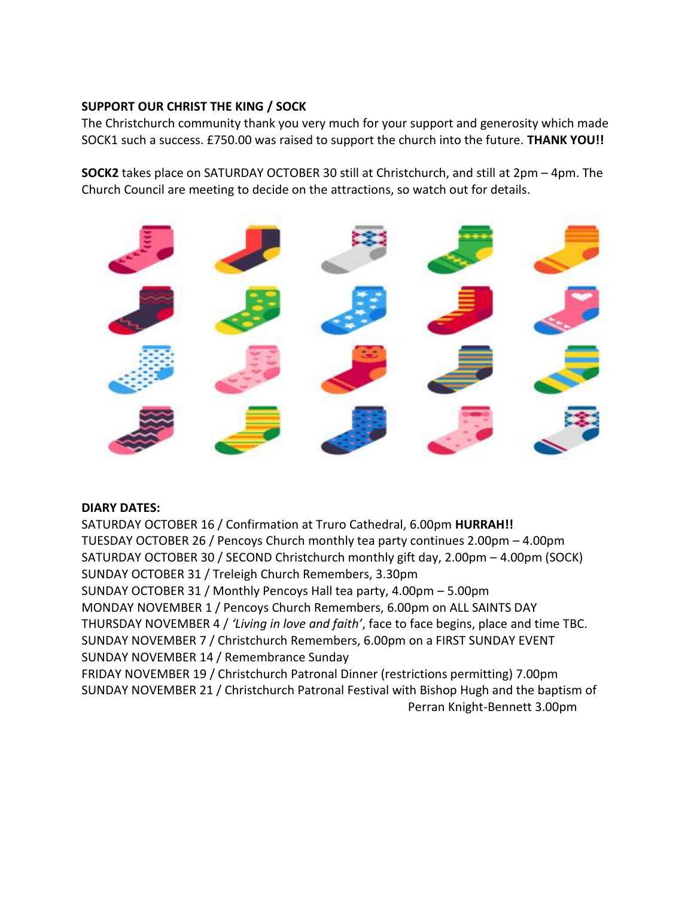## **SUPPORT OUR CHRIST THE KING / SOCK**

The Christchurch community thank you very much for your support and generosity which made SOCK1 such a success. £750.00 was raised to support the church into the future. **THANK YOU!!**

**SOCK2** takes place on SATURDAY OCTOBER 30 still at Christchurch, and still at 2pm – 4pm. The Church Council are meeting to decide on the attractions, so watch out for details.



## **DIARY DATES:**

SATURDAY OCTOBER 16 / Confirmation at Truro Cathedral, 6.00pm **HURRAH!!** TUESDAY OCTOBER 26 / Pencoys Church monthly tea party continues 2.00pm – 4.00pm SATURDAY OCTOBER 30 / SECOND Christchurch monthly gift day, 2.00pm – 4.00pm (SOCK) SUNDAY OCTOBER 31 / Treleigh Church Remembers, 3.30pm SUNDAY OCTOBER 31 / Monthly Pencoys Hall tea party, 4.00pm – 5.00pm MONDAY NOVEMBER 1 / Pencoys Church Remembers, 6.00pm on ALL SAINTS DAY THURSDAY NOVEMBER 4 / *'Living in love and faith'*, face to face begins, place and time TBC. SUNDAY NOVEMBER 7 / Christchurch Remembers, 6.00pm on a FIRST SUNDAY EVENT

SUNDAY NOVEMBER 14 / Remembrance Sunday

FRIDAY NOVEMBER 19 / Christchurch Patronal Dinner (restrictions permitting) 7.00pm SUNDAY NOVEMBER 21 / Christchurch Patronal Festival with Bishop Hugh and the baptism of Perran Knight-Bennett 3.00pm